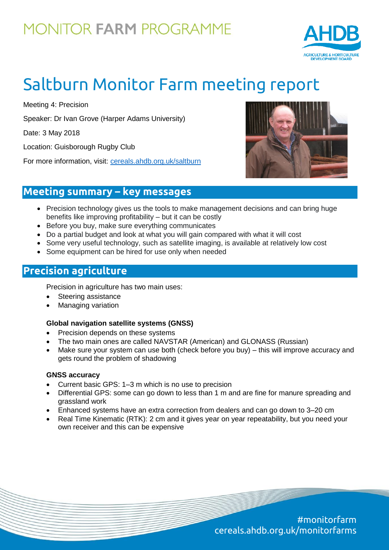

# Saltburn Monitor Farm meeting report

Meeting 4: Precision

Speaker: Dr Ivan Grove (Harper Adams University)

Date: 3 May 2018

Location: Guisborough Rugby Club

For more information, visit: [cereals.ahdb.org.uk/saltburn](https://cereals.ahdb.org.uk/get-involved/monitorfarms/saltburn-monitor-farm.aspx)



## **Meeting summary – key messages**

- Precision technology gives us the tools to make management decisions and can bring huge benefits like improving profitability – but it can be costly
- Before you buy, make sure everything communicates
- Do a partial budget and look at what you will gain compared with what it will cost
- Some very useful technology, such as satellite imaging, is available at relatively low cost
- Some equipment can be hired for use only when needed

## **Precision agriculture**

Precision in agriculture has two main uses:

- Steering assistance
- Managing variation

### **Global navigation satellite systems (GNSS)**

- Precision depends on these systems
- The two main ones are called NAVSTAR (American) and GLONASS (Russian)
- Make sure your system can use both (check before you buy) this will improve accuracy and gets round the problem of shadowing

### **GNSS accuracy**

- Current basic GPS: 1–3 m which is no use to precision
- Differential GPS: some can go down to less than 1 m and are fine for manure spreading and grassland work
- Enhanced systems have an extra correction from dealers and can go down to 3–20 cm
- Real Time Kinematic (RTK): 2 cm and it gives year on year repeatability, but you need your own receiver and this can be expensive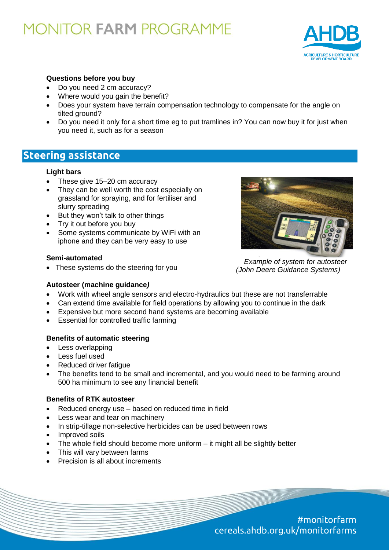

#### **Questions before you buy**

- Do you need 2 cm accuracy?
- Where would you gain the benefit?
- Does your system have terrain compensation technology to compensate for the angle on tilted ground?
- Do you need it only for a short time eg to put tramlines in? You can now buy it for just when you need it, such as for a season

### **Steering assistance**

#### **Light bars**

- These give 15–20 cm accuracy
- They can be well worth the cost especially on grassland for spraying, and for fertiliser and slurry spreading
- But they won't talk to other things
- Try it out before you buy
- Some systems communicate by WiFi with an iphone and they can be very easy to use

#### **Semi-automated**

• These systems do the steering for you



*Example of system for autosteer (John Deere Guidance Systems)*

#### **Autosteer (machine guidance***)*

- Work with wheel angle sensors and electro-hydraulics but these are not transferrable
- Can extend time available for field operations by allowing you to continue in the dark
- Expensive but more second hand systems are becoming available
- Essential for controlled traffic farming

#### **Benefits of automatic steering**

- Less overlapping
- Less fuel used
- Reduced driver fatigue
- The benefits tend to be small and incremental, and you would need to be farming around 500 ha minimum to see any financial benefit

#### **Benefits of RTK autosteer**

- Reduced energy use based on reduced time in field
- Less wear and tear on machinery
- In strip-tillage non-selective herbicides can be used between rows
- Improved soils
- The whole field should become more uniform it might all be slightly better
- This will vary between farms
- Precision is all about increments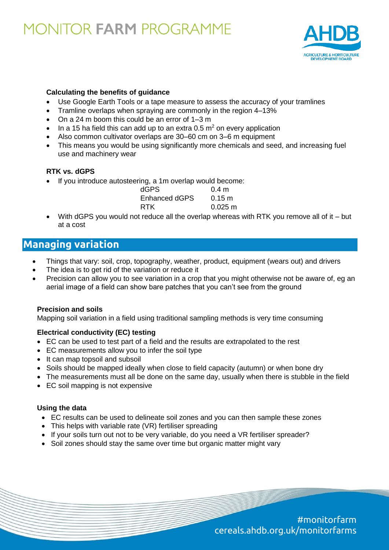

#### **Calculating the benefits of guidance**

- Use Google Earth Tools or a tape measure to assess the accuracy of your tramlines
- Tramline overlaps when spraying are commonly in the region 4–13%
- On a 24 m boom this could be an error of 1–3 m
- In a 15 ha field this can add up to an extra 0.5  $m^2$  on every application
- Also common cultivator overlaps are 30–60 cm on 3–6 m equipment
- This means you would be using significantly more chemicals and seed, and increasing fuel use and machinery wear

#### **RTK vs. dGPS**

• If you introduce autosteering, a 1m overlap would become:

| 0.4 m             |
|-------------------|
| $0.15 \text{ m}$  |
| $0.025 \text{ m}$ |
|                   |

 With dGPS you would not reduce all the overlap whereas with RTK you remove all of it – but at a cost

### **Managing variation**

- Things that vary: soil, crop, topography, weather, product, equipment (wears out) and drivers
- The idea is to get rid of the variation or reduce it
- Precision can allow you to see variation in a crop that you might otherwise not be aware of, eg an aerial image of a field can show bare patches that you can't see from the ground

### **Precision and soils**

Mapping soil variation in a field using traditional sampling methods is very time consuming

#### **Electrical conductivity (EC) testing**

- EC can be used to test part of a field and the results are extrapolated to the rest
- EC measurements allow you to infer the soil type
- It can map topsoil and subsoil
- Soils should be mapped ideally when close to field capacity (autumn) or when bone dry
- The measurements must all be done on the same day, usually when there is stubble in the field
- EC soil mapping is not expensive

#### **Using the data**

- EC results can be used to delineate soil zones and you can then sample these zones
- This helps with variable rate (VR) fertiliser spreading
- If your soils turn out not to be very variable, do you need a VR fertiliser spreader?
- Soil zones should stay the same over time but organic matter might vary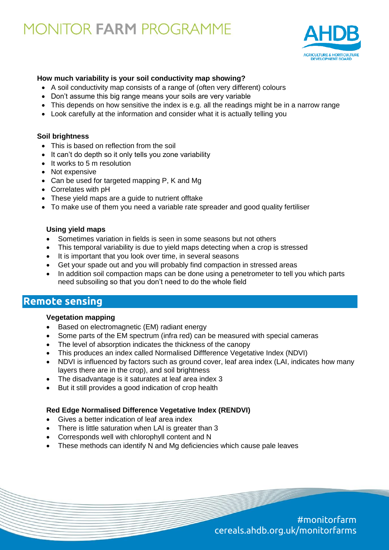

### **How much variability is your soil conductivity map showing?**

- A soil conductivity map consists of a range of (often very different) colours
- Don't assume this big range means your soils are very variable
- This depends on how sensitive the index is e.g. all the readings might be in a narrow range
- Look carefully at the information and consider what it is actually telling you

#### **Soil brightness**

- This is based on reflection from the soil
- It can't do depth so it only tells you zone variability
- It works to 5 m resolution
- Not expensive
- Can be used for targeted mapping P, K and Mg
- Correlates with pH
- These yield maps are a guide to nutrient offtake
- To make use of them you need a variable rate spreader and good quality fertiliser

#### **Using yield maps**

- Sometimes variation in fields is seen in some seasons but not others
- This temporal variability is due to yield maps detecting when a crop is stressed
- It is important that you look over time, in several seasons
- Get your spade out and you will probably find compaction in stressed areas
- In addition soil compaction maps can be done using a penetrometer to tell you which parts need subsoiling so that you don't need to do the whole field

### **Remote sensing**

#### **Vegetation mapping**

- Based on electromagnetic (EM) radiant energy
- Some parts of the EM spectrum (infra red) can be measured with special cameras
- The level of absorption indicates the thickness of the canopy
- This produces an index called Normalised Diffference Vegetative Index (NDVI)
- NDVI is influenced by factors such as ground cover, leaf area index (LAI, indicates how many layers there are in the crop), and soil brightness
- The disadvantage is it saturates at leaf area index 3
- But it still provides a good indication of crop health

#### **Red Edge Normalised Difference Vegetative Index (RENDVI)**

- Gives a better indication of leaf area index
- There is little saturation when LAI is greater than 3
- Corresponds well with chlorophyll content and N
- These methods can identify N and Mg deficiencies which cause pale leaves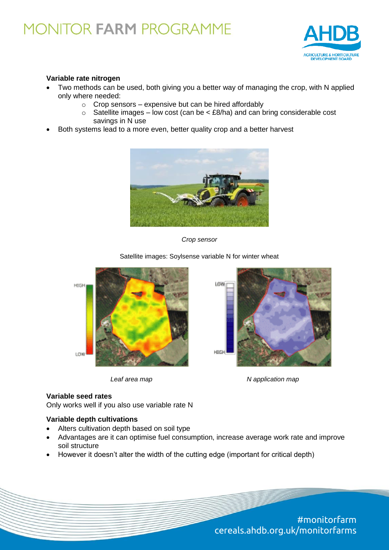

#### **Variable rate nitrogen**

- Two methods can be used, both giving you a better way of managing the crop, with N applied only where needed:
	- $\circ$  Crop sensors expensive but can be hired affordably
	- $\circ$  Satellite images low cost (can be  $\lt$  £8/ha) and can bring considerable cost savings in N use
- Both systems lead to a more even, better quality crop and a better harvest



*Crop sensor*

#### Satellite images: Soylsense variable N for winter wheat





**Variable seed rates**

Only works well if you also use variable rate N

#### **Variable depth cultivations**

- Alters cultivation depth based on soil type
- Advantages are it can optimise fuel consumption, increase average work rate and improve soil structure
- However it doesn't alter the width of the cutting edge (important for critical depth)

#monitorfarm cereals.ahdb.org.uk/monitorfarms



*Leaf area map N application map*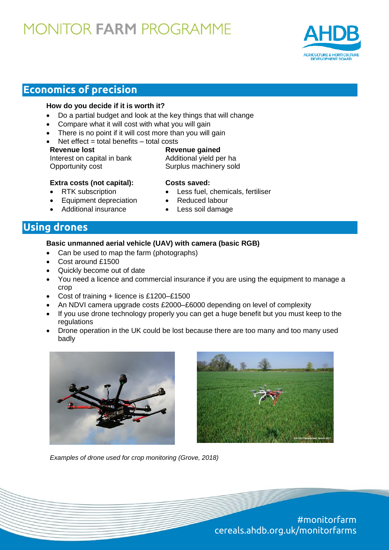

### **Economics of precision**

#### **How do you decide if it is worth it?**

- Do a partial budget and look at the key things that will change
- Compare what it will cost with what you will gain
- There is no point if it will cost more than you will gain
- Net effect = total benefits total costs

Interest on capital in bank Additional yield per ha Opportunity cost Surplus machinery sold

# **Revenue lost Revenue gained**

#### **Extra costs (not capital): Costs saved:**

- 
- Equipment depreciation Reduced labour
- 
- 
- RTK subscription **COVERTY:** Less fuel, chemicals, fertiliser
	-
- Additional insurance **and COV** Less soil damage

## **Using drones**

#### **Basic unmanned aerial vehicle (UAV) with camera (basic RGB)**

- Can be used to map the farm (photographs)
- Cost around £1500
- Quickly become out of date
- You need a licence and commercial insurance if you are using the equipment to manage a crop
- Cost of training + licence is £1200–£1500
- An NDVI camera upgrade costs £2000–£6000 depending on level of complexity
- If you use drone technology properly you can get a huge benefit but you must keep to the regulations
- Drone operation in the UK could be lost because there are too many and too many used badly





*Examples of drone used for crop monitoring (Grove, 2018)*